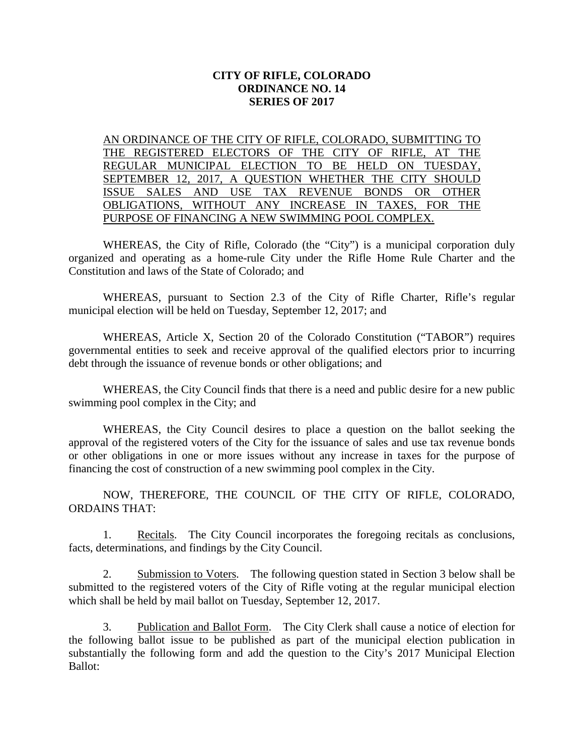## **CITY OF RIFLE, COLORADO ORDINANCE NO. 14 SERIES OF 2017**

AN ORDINANCE OF THE CITY OF RIFLE, COLORADO, SUBMITTING TO THE REGISTERED ELECTORS OF THE CITY OF RIFLE, AT THE REGULAR MUNICIPAL ELECTION TO BE HELD ON TUESDAY, SEPTEMBER 12, 2017, A QUESTION WHETHER THE CITY SHOULD ISSUE SALES AND USE TAX REVENUE BONDS OR OTHER OBLIGATIONS, WITHOUT ANY INCREASE IN TAXES, FOR THE PURPOSE OF FINANCING A NEW SWIMMING POOL COMPLEX.

WHEREAS, the City of Rifle, Colorado (the "City") is a municipal corporation duly organized and operating as a home-rule City under the Rifle Home Rule Charter and the Constitution and laws of the State of Colorado; and

WHEREAS, pursuant to Section 2.3 of the City of Rifle Charter, Rifle's regular municipal election will be held on Tuesday, September 12, 2017; and

WHEREAS, Article X, Section 20 of the Colorado Constitution ("TABOR") requires governmental entities to seek and receive approval of the qualified electors prior to incurring debt through the issuance of revenue bonds or other obligations; and

WHEREAS, the City Council finds that there is a need and public desire for a new public swimming pool complex in the City; and

WHEREAS, the City Council desires to place a question on the ballot seeking the approval of the registered voters of the City for the issuance of sales and use tax revenue bonds or other obligations in one or more issues without any increase in taxes for the purpose of financing the cost of construction of a new swimming pool complex in the City.

NOW, THEREFORE, THE COUNCIL OF THE CITY OF RIFLE, COLORADO, ORDAINS THAT:

1. Recitals. The City Council incorporates the foregoing recitals as conclusions, facts, determinations, and findings by the City Council.

2. Submission to Voters. The following question stated in Section 3 below shall be submitted to the registered voters of the City of Rifle voting at the regular municipal election which shall be held by mail ballot on Tuesday, September 12, 2017.

3. Publication and Ballot Form. The City Clerk shall cause a notice of election for the following ballot issue to be published as part of the municipal election publication in substantially the following form and add the question to the City's 2017 Municipal Election Ballot: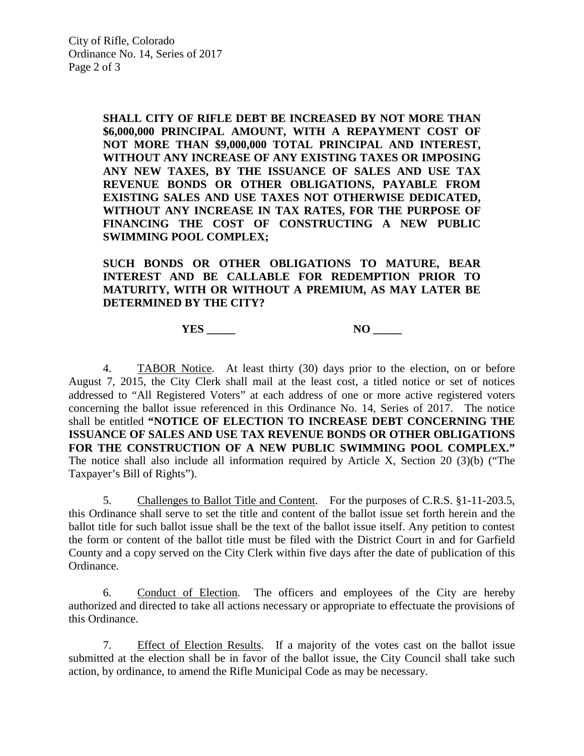**SHALL CITY OF RIFLE DEBT BE INCREASED BY NOT MORE THAN \$6,000,000 PRINCIPAL AMOUNT, WITH A REPAYMENT COST OF NOT MORE THAN \$9,000,000 TOTAL PRINCIPAL AND INTEREST, WITHOUT ANY INCREASE OF ANY EXISTING TAXES OR IMPOSING ANY NEW TAXES, BY THE ISSUANCE OF SALES AND USE TAX REVENUE BONDS OR OTHER OBLIGATIONS, PAYABLE FROM EXISTING SALES AND USE TAXES NOT OTHERWISE DEDICATED, WITHOUT ANY INCREASE IN TAX RATES, FOR THE PURPOSE OF FINANCING THE COST OF CONSTRUCTING A NEW PUBLIC SWIMMING POOL COMPLEX;**

**SUCH BONDS OR OTHER OBLIGATIONS TO MATURE, BEAR INTEREST AND BE CALLABLE FOR REDEMPTION PRIOR TO MATURITY, WITH OR WITHOUT A PREMIUM, AS MAY LATER BE DETERMINED BY THE CITY?**

**YES** NO

4. TABOR Notice. At least thirty (30) days prior to the election, on or before August 7, 2015, the City Clerk shall mail at the least cost, a titled notice or set of notices addressed to "All Registered Voters" at each address of one or more active registered voters concerning the ballot issue referenced in this Ordinance No. 14, Series of 2017. The notice shall be entitled **"NOTICE OF ELECTION TO INCREASE DEBT CONCERNING THE ISSUANCE OF SALES AND USE TAX REVENUE BONDS OR OTHER OBLIGATIONS FOR THE CONSTRUCTION OF A NEW PUBLIC SWIMMING POOL COMPLEX."**  The notice shall also include all information required by Article X, Section 20 (3)(b) ("The Taxpayer's Bill of Rights").

5. Challenges to Ballot Title and Content. For the purposes of C.R.S. §1-11-203.5, this Ordinance shall serve to set the title and content of the ballot issue set forth herein and the ballot title for such ballot issue shall be the text of the ballot issue itself. Any petition to contest the form or content of the ballot title must be filed with the District Court in and for Garfield County and a copy served on the City Clerk within five days after the date of publication of this Ordinance.

6. Conduct of Election. The officers and employees of the City are hereby authorized and directed to take all actions necessary or appropriate to effectuate the provisions of this Ordinance.

7. Effect of Election Results. If a majority of the votes cast on the ballot issue submitted at the election shall be in favor of the ballot issue, the City Council shall take such action, by ordinance, to amend the Rifle Municipal Code as may be necessary.